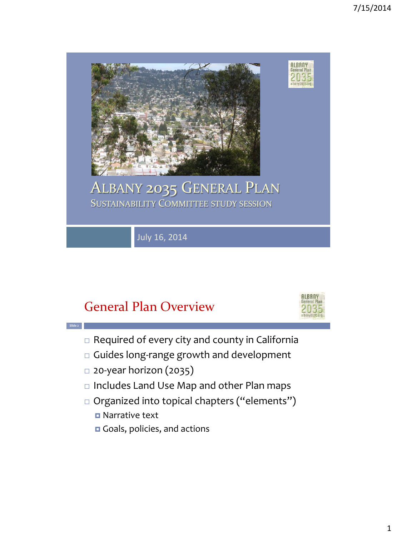

## General Plan Overview



- $\Box$  Required of every city and county in California
- Guides long-range growth and development
- 20-year horizon (2035)
- □ Includes Land Use Map and other Plan maps
- □ Organized into topical chapters ("elements")
	- **D** Narrative text

**Slide 2**

Goals, policies, and actions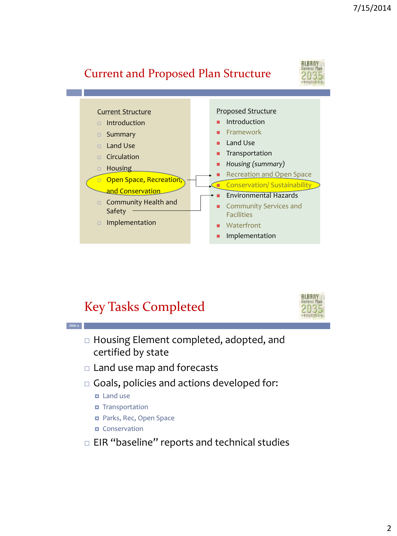### Current and Proposed Plan Structure





## Key Tasks Completed



- □ Housing Element completed, adopted, and certified by state
- □ Land use map and forecasts
- $\Box$  Goals, policies and actions developed for:
	- **D** Land use

**Slide 4**

- **D** Transportation
- **Parks, Rec, Open Space**
- **D** Conservation
- $\Box$  EIR "baseline" reports and technical studies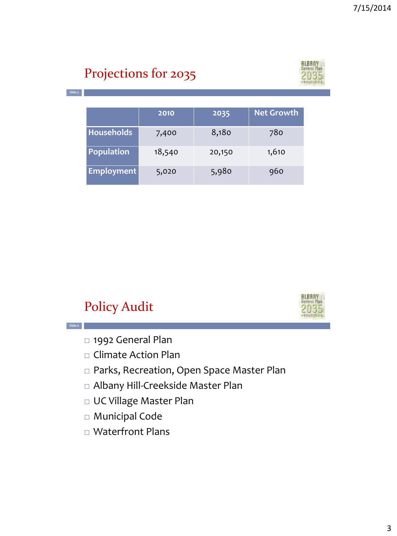# Projections for 2035



**2010 2035 Net Growth**

**Slide 5**

**Slide 6**

| <b>Households</b> | 7,400  | 8,180  | 780   |
|-------------------|--------|--------|-------|
| Population        | 18,540 | 20,150 | 1,610 |
| Employment        | 5,020  | 5,980  | 960   |

## Policy Audit



- □ 1992 General Plan
- Climate Action Plan
- Parks, Recreation, Open Space Master Plan
- Albany Hill-Creekside Master Plan
- UC Village Master Plan
- Municipal Code
- □ Waterfront Plans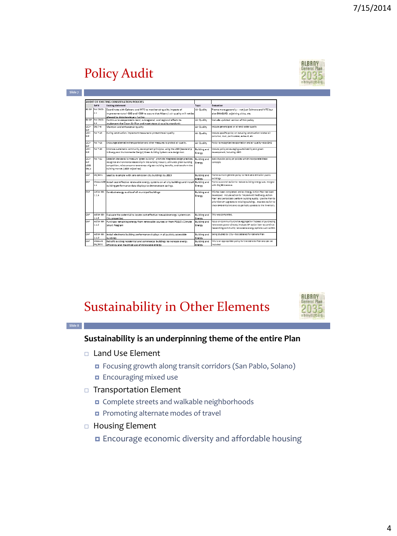# Policy Audit

| HLBANY         |  |  |  |  |
|----------------|--|--|--|--|
| General Plan   |  |  |  |  |
|                |  |  |  |  |
|                |  |  |  |  |
| albany2035.org |  |  |  |  |

**Slide 8**

|            |                 | AUDIT OF EXISTING CONSERVATION POLICIES                                                     |                     |                                                                   |
|------------|-----------------|---------------------------------------------------------------------------------------------|---------------------|-------------------------------------------------------------------|
|            | Refit           | <b>Existing statement</b>                                                                   | Topic               | Evaluation                                                        |
|            | 92 GP Policent- | Coordinate with Caltrans and MTC to monitor air quality impacts of                          | Air Quality         | Frame more generally -- not just Caltrans and MTC but             |
|            | 41              | improvements to I-880 and I-580 to assure that Albany's air quality will not be             |                     | also BAAQMD, adjoining cities, etc.                               |
|            |                 | allowed to deteriorate any further                                                          |                     |                                                                   |
| 92.GP      | PoliCROS-       | Continue to cooperate in local, subregional, and regional efforts to                        | Air Quality         | Include updated version of this policy                            |
|            | 44              | implement the Clean Air Plan and meet state air quality standards                           |                     |                                                                   |
| uev-<br>MP | Obi 7-4         | Maintain and enhance air quality                                                            | Air Quality         | Include seneral soal on air and water quality                     |
| UCV-       | Pol 7-15        | During construction, implement measures to protect the air quality.                         | Air Quality         | Include specific policy on reducing construction related air      |
| MP         |                 |                                                                                             |                     | pollution, dust, particulates, exhaust, etc.                      |
| UCV-       | Pol.7-16        | Encourage alternative transportation and other measures to protect air quality.             | Air Quality         | Policy to recognize transportation and air quality--also GHG      |
| MP         |                 |                                                                                             |                     |                                                                   |
| urv-<br>MP | Pol.7-20        | Embrace sustainable community development principles, using the LEED (Leadership            | <b>Building and</b> | Include policy encouraging sustainability and green               |
|            |                 | in Energy and Environmental Design) Green Building Systems as a design tool.                | Energy              | development, including LEED                                       |
| uev-       | $P017 - 22$     | Establish standards to measure "green building", promote integrated design practices.       | <b>Building and</b> | Add citywide policy or policies which incorporate these           |
| <b>MP</b>  |                 | recognize environmental leadership in the building industry, stimulate green building       | Energy              | concepts                                                          |
| LEED       |                 | competition, raise consumer awareness of green building benefits, and transform the         |                     |                                                                   |
| Obis       |                 | building market. (LEED objectives)                                                          |                     |                                                                   |
| CAP        | Obi BE-1        | Lead by example with zero emission city buildings by 2015                                   | <b>Building and</b> | frame as more general policy to have zero emission public         |
|            |                 |                                                                                             | Energy              | buildings                                                         |
| CAP        |                 | MeasureBE Install cost-effective renewable energy systems on all city buildings and install | <b>Building and</b> | frame as overall action to reduce building energy use, merged     |
|            | 1.1             | building performance data displays to demonstrate savings.                                  | Energy              | with Obi BE-1 above                                               |
| CAP        | Action RF-      | Conduct energy audits of all municipal buildings                                            | <b>Building and</b> | this has been completed, and an Energy Action Plan has been       |
|            | 114             |                                                                                             | Enerry              | developed. Include action to "Implement the Energy Action"        |
|            |                 |                                                                                             |                     | Flan" and periodically perform building audits. Use the Plan to   |
|            |                 |                                                                                             |                     | prioritize CIP upgrades to existing buildings. Also add action to |
|            |                 |                                                                                             |                     | track GHG emissions and do periodic updates to the inventory.     |
| CAP        | Artion RF-      | Evaluate the potential to locate cost-effective rnewable energy systems on                  | <b>Building and</b> | This was completed.                                               |
|            | 1.1.8           | City properties                                                                             | Energy              |                                                                   |
| CAP        | Action BE-      | Purchase remaining energy from renewable sources or from PG&E's Climate                     | <b>Building and</b> | focus on Community Choice Aggregation instead of purchasing       |
|            | 1.1C            | Smart Program                                                                               | Energy              | renewable power directly/ Include GP action item to continue      |
|            |                 |                                                                                             |                     | researching community renewable energy options such as CCA        |
| CAP        | Action RF-      | Install electronic building performance displays in all publicly accessible                 | <b>Building and</b> | being studied by City--- too detailed for General Plan            |
|            | 1.1.0           | buildines                                                                                   | Enerey              |                                                                   |
| CAP        | Measure         | Retrofit existing residential and commercial buildings to increase energy                   | <b>Building and</b> | This is an appropriate policy for the General Plan and can be     |
|            | Obi 8E-2        | efficiency and maximize use of renewable energy                                             | Energy              | included                                                          |

## Sustainability in Other Elements



#### **Sustainability is an underpinning theme of the entire Plan**

- □ Land Use Element
	- Focusing growth along transit corridors (San Pablo, Solano)
	- **Encouraging mixed use**
- Transportation Element
	- Complete streets and walkable neighborhoods
	- **Promoting alternate modes of travel**
- □ Housing Element
	- Encourage economic diversity and affordable housing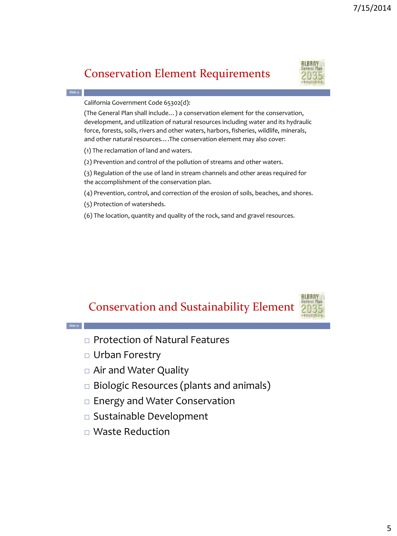#### Conservation Element Requirements



**Slide 9**

**Slide 10**

California Government Code 65302(d):

(The General Plan shall include…) a conservation element for the conservation, development, and utilization of natural resources including water and its hydraulic force, forests, soils, rivers and other waters, harbors, fisheries, wildlife, minerals, and other natural resources….The conservation element may also cover:

(1) The reclamation of land and waters.

(2) Prevention and control of the pollution of streams and other waters.

(3) Regulation of the use of land in stream channels and other areas required for the accomplishment of the conservation plan.

(4) Prevention, control, and correction of the erosion of soils, beaches, and shores.

(5) Protection of watersheds.

(6) The location, quantity and quality of the rock, sand and gravel resources.

#### Conservation and Sustainability Element



- □ Protection of Natural Features
- Urban Forestry
- Air and Water Quality
- □ Biologic Resources (plants and animals)
- □ Energy and Water Conservation
- Sustainable Development
- Waste Reduction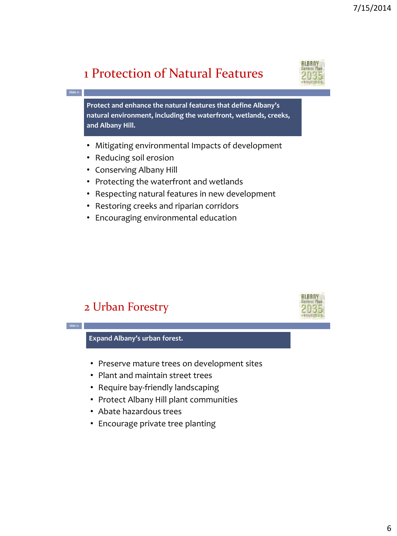## 1 Protection of Natural Features



**ALBANY** 

**Protect and enhance the natural features that define Albany's natural environment, including the waterfront, wetlands, creeks, and Albany Hill.**

- Mitigating environmental Impacts of development
- Reducing soil erosion

**Slide 11**

**Slide 12**

- Conserving Albany Hill
- Protecting the waterfront and wetlands
- Respecting natural features in new development
- Restoring creeks and riparian corridors
- Encouraging environmental education

#### 2 Urban Forestry



- Preserve mature trees on development sites
- Plant and maintain street trees
- Require bay-friendly landscaping
- Protect Albany Hill plant communities
- Abate hazardous trees
- Encourage private tree planting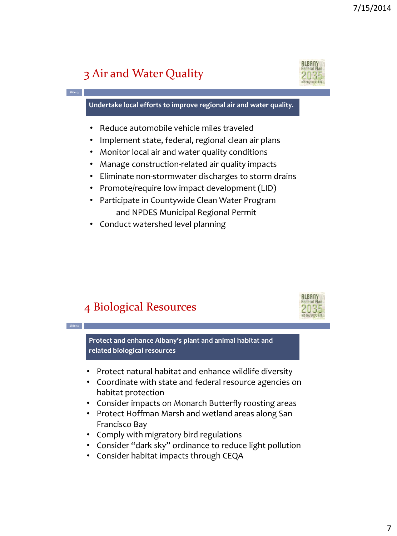## 3 Air and Water Quality

**Slide 13**

**Slide 14**



**Undertake local efforts to improve regional air and water quality.**

- Reduce automobile vehicle miles traveled
- Implement state, federal, regional clean air plans
- Monitor local air and water quality conditions
- Manage construction-related air quality impacts
- Eliminate non-stormwater discharges to storm drains
- Promote/require low impact development (LID)
- Participate in Countywide Clean Water Program and NPDES Municipal Regional Permit
- Conduct watershed level planning

#### 4 Biological Resources



**Protect and enhance Albany's plant and animal habitat and related biological resources**

- Protect natural habitat and enhance wildlife diversity
- Coordinate with state and federal resource agencies on habitat protection
- Consider impacts on Monarch Butterfly roosting areas
- Protect Hoffman Marsh and wetland areas along San Francisco Bay
- Comply with migratory bird regulations
- Consider "dark sky" ordinance to reduce light pollution
- Consider habitat impacts through CEQA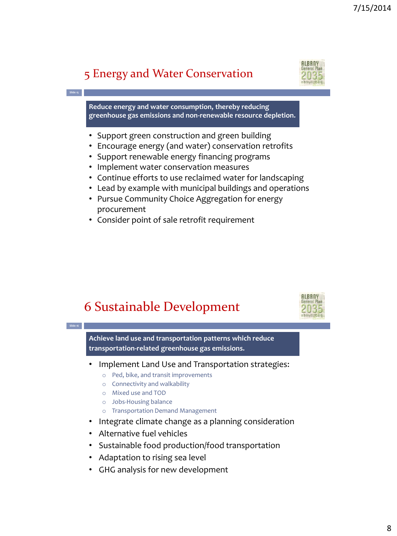## 5 Energy and Water Conservation

**Slide 15**

**Slide 16**



**Reduce energy and water consumption, thereby reducing greenhouse gas emissions and non-renewable resource depletion.**

- Support green construction and green building
- Encourage energy (and water) conservation retrofits
- Support renewable energy financing programs
- Implement water conservation measures
- Continue efforts to use reclaimed water for landscaping
- Lead by example with municipal buildings and operations
- Pursue Community Choice Aggregation for energy procurement
- Consider point of sale retrofit requirement





**Achieve land use and transportation patterns which reduce transportation-related greenhouse gas emissions.** 

- Implement Land Use and Transportation strategies:
	- o Ped, bike, and transit improvements
	- o Connectivity and walkability
	- o Mixed use and TOD
	- o Jobs-Housing balance
	- o Transportation Demand Management
- Integrate climate change as a planning consideration
- Alternative fuel vehicles
- Sustainable food production/food transportation
- Adaptation to rising sea level
- GHG analysis for new development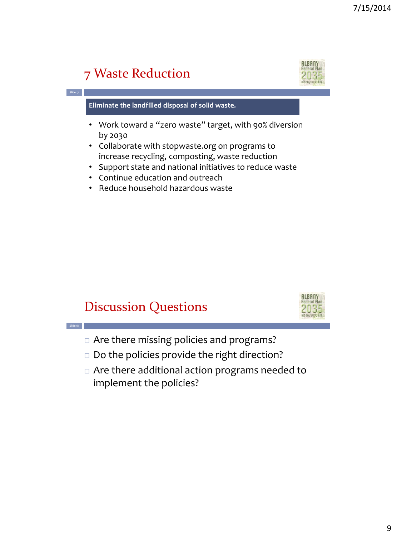# 7 Waste Reduction

**Slide 17**

**Slide 18**



**Eliminate the landfilled disposal of solid waste.**

- Work toward a "zero waste" target, with 90% diversion by 2030
- Collaborate with stopwaste.org on programs to increase recycling, composting, waste reduction
- Support state and national initiatives to reduce waste
- Continue education and outreach
- Reduce household hazardous waste

## Discussion Questions



- □ Are there missing policies and programs?
- $\square$  Do the policies provide the right direction?
- Are there additional action programs needed to implement the policies?